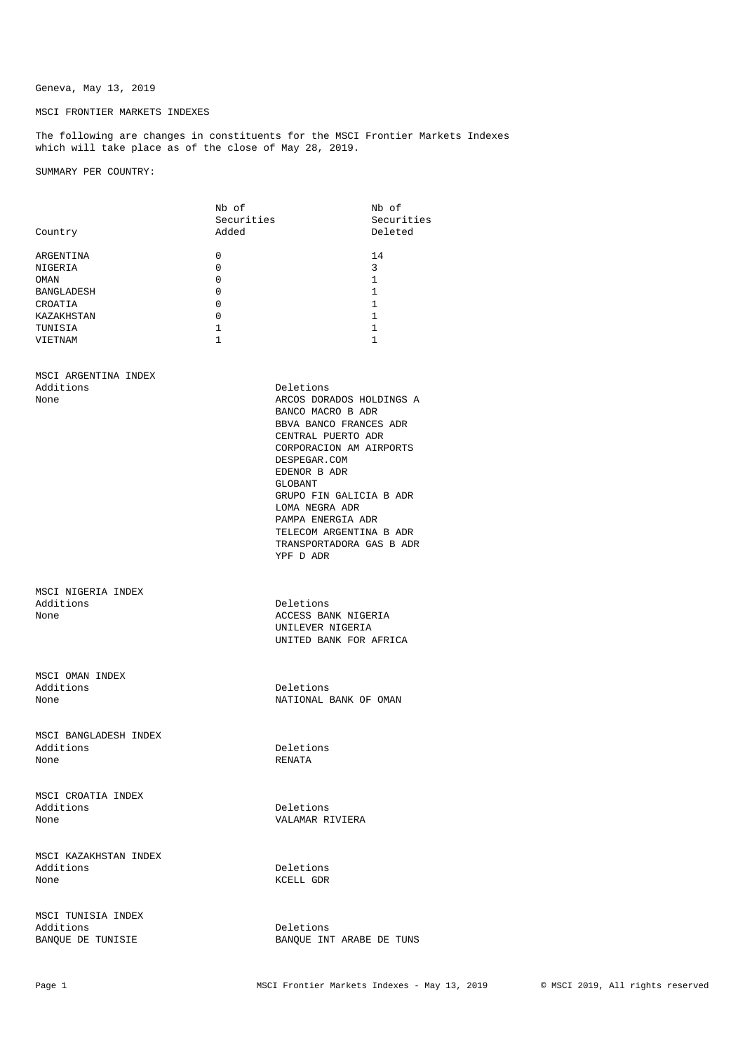## Geneva, May 13, 2019

## MSCI FRONTIER MARKETS INDEXES

The following are changes in constituents for the MSCI Frontier Markets Indexes which will take place as of the close of May 28, 2019.

SUMMARY PER COUNTRY:

|                       | Nb of        |                          | Nb of        |
|-----------------------|--------------|--------------------------|--------------|
|                       | Securities   |                          | Securities   |
| Country               | Added        |                          | Deleted      |
| ARGENTINA             | 0            |                          | 14           |
| NIGERIA               | $\mathbf 0$  |                          | 3            |
| OMAN                  | 0            |                          | 1            |
| BANGLADESH            | 0            |                          | $\mathbf{1}$ |
| CROATIA               | $\mathbf 0$  |                          | 1            |
| KAZAKHSTAN            | $\mathbf 0$  |                          | 1            |
| TUNISIA               | $\mathbf{1}$ |                          | 1            |
| VIETNAM               | $\mathbf{1}$ |                          | 1            |
|                       |              |                          |              |
| MSCI ARGENTINA INDEX  |              |                          |              |
| Additions             |              | Deletions                |              |
| None                  |              | ARCOS DORADOS HOLDINGS A |              |
|                       |              | BANCO MACRO B ADR        |              |
|                       |              |                          |              |
|                       |              | BBVA BANCO FRANCES ADR   |              |
|                       |              | CENTRAL PUERTO ADR       |              |
|                       |              | CORPORACION AM AIRPORTS  |              |
|                       |              | DESPEGAR.COM             |              |
|                       |              | EDENOR B ADR             |              |
|                       |              | GLOBANT                  |              |
|                       |              | GRUPO FIN GALICIA B ADR  |              |
|                       |              | LOMA NEGRA ADR           |              |
|                       |              | PAMPA ENERGIA ADR        |              |
|                       |              | TELECOM ARGENTINA B ADR  |              |
|                       |              | TRANSPORTADORA GAS B ADR |              |
|                       |              | YPF D ADR                |              |
|                       |              |                          |              |
| MSCI NIGERIA INDEX    |              |                          |              |
| Additions             |              | Deletions                |              |
| None                  |              | ACCESS BANK NIGERIA      |              |
|                       |              | UNILEVER NIGERIA         |              |
|                       |              | UNITED BANK FOR AFRICA   |              |
|                       |              |                          |              |
| MSCI OMAN INDEX       |              |                          |              |
| Additions             |              | Deletions                |              |
| None                  |              | NATIONAL BANK OF OMAN    |              |
|                       |              |                          |              |
| MSCI BANGLADESH INDEX |              |                          |              |
| Additions             |              | Deletions                |              |
| None                  |              | RENATA                   |              |
|                       |              |                          |              |
| MSCI CROATIA INDEX    |              |                          |              |
| Additions             |              | Deletions                |              |
| None                  |              | VALAMAR RIVIERA          |              |
|                       |              |                          |              |
| MSCI KAZAKHSTAN INDEX |              |                          |              |
| Additions             |              | Deletions                |              |
| None                  |              | KCELL GDR                |              |
|                       |              |                          |              |
| MSCI TUNISIA INDEX    |              |                          |              |
| Additions             |              | Deletions                |              |
| BANQUE DE TUNISIE     |              | BANQUE INT ARABE DE TUNS |              |
|                       |              |                          |              |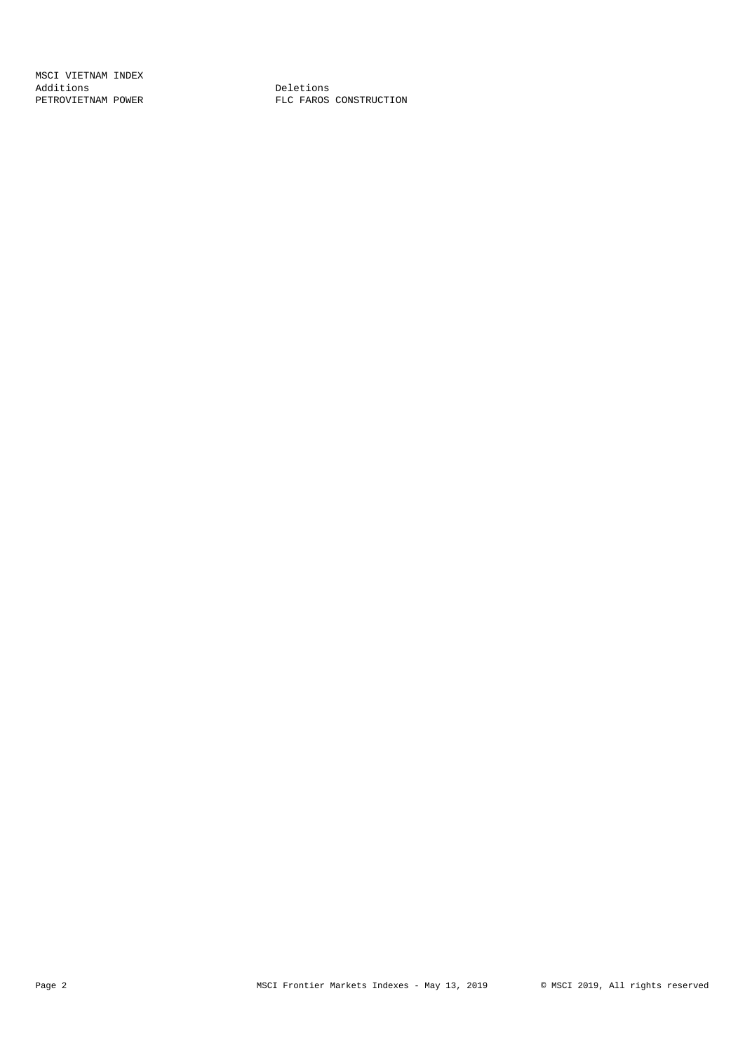MSCI VIETNAM INDEX Additions **Deletions** 

PETROVIETNAM POWER **FLC FAROS CONSTRUCTION**